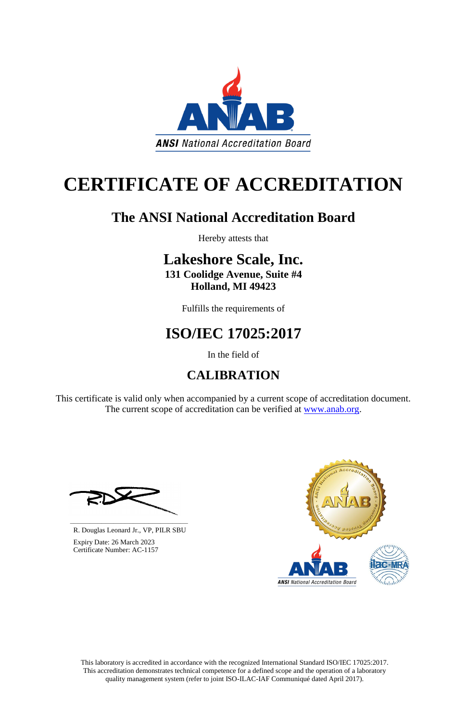This laboratory is accredited in accordance with the recognized International Standard ISO/IEC 17025:2017. This accreditation demonstrates technical competence for a defined scope and the operation of a laboratory quality management system (refer to joint ISO-ILAC-IAF Communiqué dated April 2017).

This certificate is valid only when accompanied by a current scope of accreditation document. The current scope of accreditation can be verified at [www.anab.org.](http://www.anab.org/)





# **CERTIFICATE OF ACCREDITATION**

### **The ANSI National Accreditation Board**

Hereby attests that

## **Lakeshore Scale, Inc.**

**131 Coolidge Avenue, Suite #4 Holland, MI 49423**

Fulfills the requirements of

### **ISO/IEC 17025:2017**

In the field of

### **CALIBRATION**

**\_\_\_\_\_\_\_\_\_\_\_\_\_\_\_\_\_\_\_\_\_\_\_\_\_\_\_\_\_\_** R. Douglas Leonard Jr., VP, PILR SBU



 Expiry Date: 26 March 2023 Certificate Number: AC-1157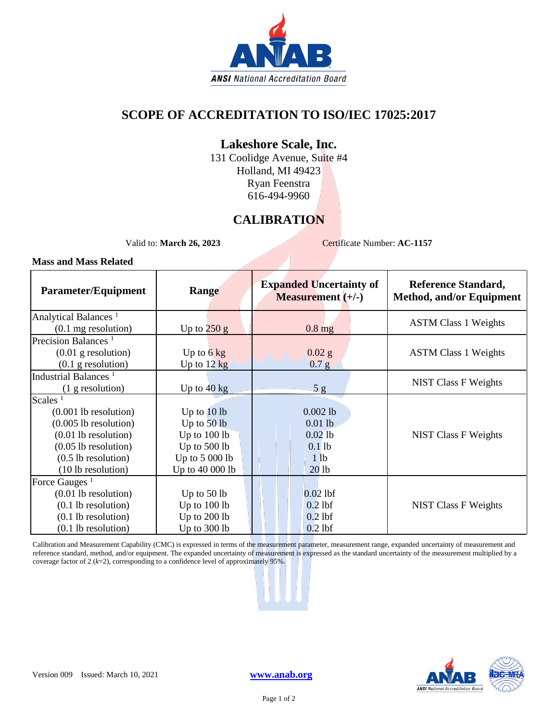

#### **SCOPE OF ACCREDITATION TO ISO/IEC 17025:2017**

#### **Lakeshore Scale, Inc.**

131 Coolidge Avenue, Suite #4 Holland, MI 49423 Ryan Feenstra 616-494-9960

#### **CALIBRATION**

Valid to: **March 26, 2023** Certificate Number: **AC-1157** 

#### **Mass and Mass Related**

| <b>Parameter/Equipment</b>             | Range                 | <b>Expanded Uncertainty of</b><br><b>Measurement</b> $(+/-)$ | <b>Reference Standard,</b><br>Method, and/or Equipment |
|----------------------------------------|-----------------------|--------------------------------------------------------------|--------------------------------------------------------|
| Analytical Balances <sup>1</sup>       |                       |                                                              | <b>ASTM Class 1 Weights</b>                            |
| $(0.1 \text{ mg resolution})$          | Up to $250 g$         | $0.8$ mg                                                     |                                                        |
| Precision Balances <sup>1</sup>        |                       |                                                              |                                                        |
| $(0.01$ g resolution)                  | Up to $6 \text{ kg}$  | $0.02$ g                                                     | <b>ASTM Class 1 Weights</b>                            |
| $(0.1$ g resolution)                   | Up to $12 \text{ kg}$ | 0.7 <sub>g</sub>                                             |                                                        |
| Industrial Balances <sup>1</sup>       |                       |                                                              |                                                        |
| $(1$ g resolution)                     | Up to $40 \text{ kg}$ | 5g                                                           | <b>NIST Class F Weights</b>                            |
| Scales <sup><math>1</math></sup>       |                       |                                                              |                                                        |
| $(0.001$ lb resolution)                | Up to $10 lb$         | $0.002$ lb                                                   |                                                        |
| $(0.005$ lb resolution)                | Up to $50$ lb         | $0.01$ lb                                                    |                                                        |
| $(0.01$ lb resolution)                 | Up to 100 lb          | $0.02$ lb                                                    | <b>NIST Class F Weights</b>                            |
| $(0.05$ lb resolution)                 | Up to 500 lb          | $0.1$ lb                                                     |                                                        |
| $(0.5$ lb resolution)                  | Up to $5000$ lb       | 1 <sub>lb</sub>                                              |                                                        |
| (10 lb resolution)                     | Up to 40 000 lb       | 20 <sub>1b</sub>                                             |                                                        |
| Force Gauges <sup><math>1</math></sup> |                       |                                                              |                                                        |
| $(0.01$ lb resolution)                 | Up to $50$ lb         | $0.02$ lbf                                                   |                                                        |
| $(0.1$ lb resolution)                  | Up to 100 lb          | $0.2$ lbf                                                    | <b>NIST Class F Weights</b>                            |
| $(0.1$ lb resolution)                  | Up to 200 lb          | $0.2$ lbf                                                    |                                                        |
| $(0.1$ lb resolution)                  | Up to 300 lb          | $0.2$ lbf                                                    |                                                        |

Calibration and Measurement Capability (CMC) is expressed in terms of the measurement parameter, measurement range, expanded uncertainty of measurement and reference standard, method, and/or equipment. The expanded uncertainty of measurement is expressed as the standard uncertainty of the measurement multiplied by a coverage factor of 2 (*k*=2), corresponding to a confidence level of approximately 95%.